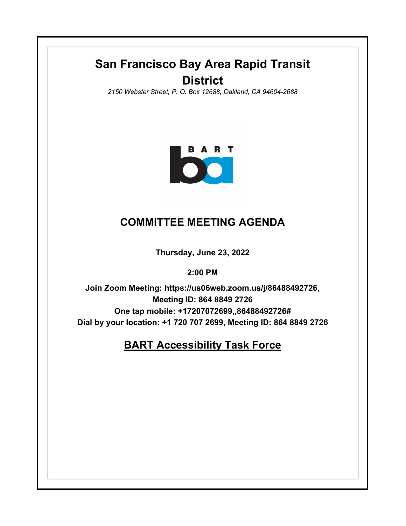# **San Francisco Bay Area Rapid Transit District**

*2150 Webster Street, P. O. Box 12688, Oakland, CA 94604-2688*



### **COMMITTEE MEETING AGENDA**

**Thursday, June 23, 2022**

**2:00 PM**

**Join Zoom Meeting: https://us06web.zoom.us/j/86488492726, Meeting ID: 864 8849 2726 One tap mobile: +17207072699,,86488492726# Dial by your location: +1 720 707 2699, Meeting ID: 864 8849 2726**

## **BART Accessibility Task Force**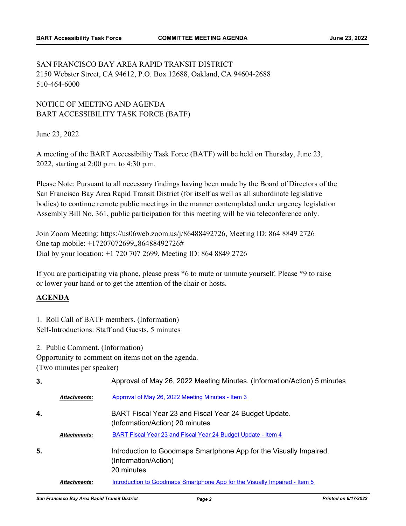SAN FRANCISCO BAY AREA RAPID TRANSIT DISTRICT 2150 Webster Street, CA 94612, P.O. Box 12688, Oakland, CA 94604-2688 510-464-6000

#### NOTICE OF MEETING AND AGENDA BART ACCESSIBILITY TASK FORCE (BATF)

June 23, 2022

A meeting of the BART Accessibility Task Force (BATF) will be held on Thursday, June 23, 2022, starting at 2:00 p.m. to 4:30 p.m.

Please Note: Pursuant to all necessary findings having been made by the Board of Directors of the San Francisco Bay Area Rapid Transit District (for itself as well as all subordinate legislative bodies) to continue remote public meetings in the manner contemplated under urgency legislation Assembly Bill No. 361, public participation for this meeting will be via teleconference only.

Join Zoom Meeting: https://us06web.zoom.us/j/86488492726, Meeting ID: 864 8849 2726 One tap mobile: +17207072699,,86488492726# Dial by your location: +1 720 707 2699, Meeting ID: 864 8849 2726

If you are participating via phone, please press \*6 to mute or unmute yourself. Please \*9 to raise or lower your hand or to get the attention of the chair or hosts.

#### **AGENDA**

1. Roll Call of BATF members. (Information) Self-Introductions: Staff and Guests. 5 minutes

2. Public Comment. (Information)

Opportunity to comment on items not on the agenda.

(Two minutes per speaker)

| 3. |                     | Approval of May 26, 2022 Meeting Minutes. (Information/Action) 5 minutes                                 |
|----|---------------------|----------------------------------------------------------------------------------------------------------|
|    | <b>Attachments:</b> | Approval of May 26, 2022 Meeting Minutes - Item 3                                                        |
| 4. |                     | BART Fiscal Year 23 and Fiscal Year 24 Budget Update.<br>(Information/Action) 20 minutes                 |
|    | <b>Attachments:</b> | BART Fiscal Year 23 and Fiscal Year 24 Budget Update - Item 4                                            |
| 5. |                     | Introduction to Goodmaps Smartphone App for the Visually Impaired.<br>(Information/Action)<br>20 minutes |
|    | <b>Attachments:</b> | Introduction to Goodmaps Smartphone App for the Visually Impaired - Item 5                               |